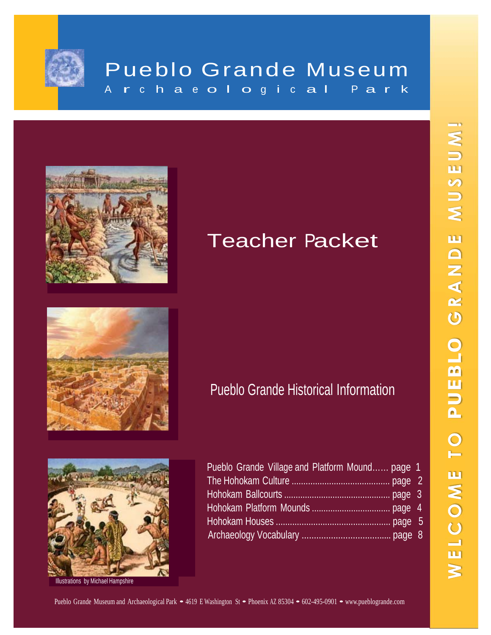

## Pueblo Grande Museum A r c h a e o l o g i c a l P a r k



# Teacher Packet





Illustrations by Michael Hampshire

|  | Pueblo Grande Historical Information |
|--|--------------------------------------|
|  |                                      |

| Pueblo Grande Village and Platform Mound page 1 |  |
|-------------------------------------------------|--|
|                                                 |  |
|                                                 |  |
|                                                 |  |
|                                                 |  |
|                                                 |  |

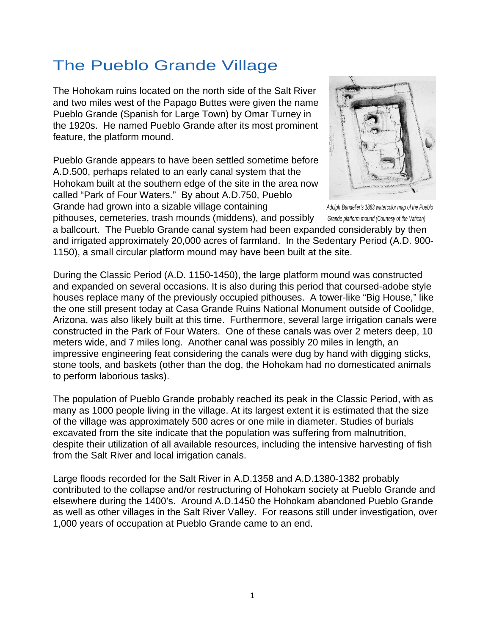### The Pueblo Grande Village

The Hohokam ruins located on the north side of the Salt River and two miles west of the Papago Buttes were given the name Pueblo Grande (Spanish for Large Town) by Omar Turney in the 1920s. He named Pueblo Grande after its most prominent feature, the platform mound.

Pueblo Grande appears to have been settled sometime before A.D.500, perhaps related to an early canal system that the Hohokam built at the southern edge of the site in the area now called "Park of Four Waters." By about A.D.750, Pueblo Grande had grown into a sizable village containing **Adolph Bandelier's 1883** watercolor map of the Pueblo



pithouses, cemeteries, trash mounds (middens), and possibly *Grande platform mound (Courtesy of the Vatican)*

a ballcourt. The Pueblo Grande canal system had been expanded considerably by then and irrigated approximately 20,000 acres of farmland. In the Sedentary Period (A.D. 900- 1150), a small circular platform mound may have been built at the site.

During the Classic Period (A.D. 1150-1450), the large platform mound was constructed and expanded on several occasions. It is also during this period that coursed-adobe style houses replace many of the previously occupied pithouses. A tower-like "Big House," like the one still present today at Casa Grande Ruins National Monument outside of Coolidge, Arizona, was also likely built at this time. Furthermore, several large irrigation canals were constructed in the Park of Four Waters. One of these canals was over 2 meters deep, 10 meters wide, and 7 miles long. Another canal was possibly 20 miles in length, an impressive engineering feat considering the canals were dug by hand with digging sticks, stone tools, and baskets (other than the dog, the Hohokam had no domesticated animals to perform laborious tasks).

The population of Pueblo Grande probably reached its peak in the Classic Period, with as many as 1000 people living in the village. At its largest extent it is estimated that the size of the village was approximately 500 acres or one mile in diameter. Studies of burials excavated from the site indicate that the population was suffering from malnutrition, despite their utilization of all available resources, including the intensive harvesting of fish from the Salt River and local irrigation canals.

Large floods recorded for the Salt River in A.D.1358 and A.D.1380-1382 probably contributed to the collapse and/or restructuring of Hohokam society at Pueblo Grande and elsewhere during the 1400's. Around A.D.1450 the Hohokam abandoned Pueblo Grande as well as other villages in the Salt River Valley. For reasons still under investigation, over 1,000 years of occupation at Pueblo Grande came to an end.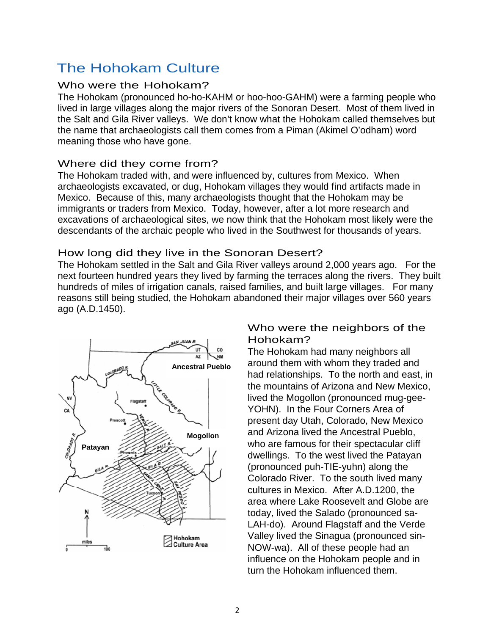### The Hohokam Culture

#### Who were the Hohokam?

The Hohokam (pronounced ho-ho-KAHM or hoo-hoo-GAHM) were a farming people who lived in large villages along the major rivers of the Sonoran Desert. Most of them lived in the Salt and Gila River valleys. We don't know what the Hohokam called themselves but the name that archaeologists call them comes from a Piman (Akimel O'odham) word meaning those who have gone.

#### Where did they come from?

The Hohokam traded with, and were influenced by, cultures from Mexico. When archaeologists excavated, or dug, Hohokam villages they would find artifacts made in Mexico. Because of this, many archaeologists thought that the Hohokam may be immigrants or traders from Mexico. Today, however, after a lot more research and excavations of archaeological sites, we now think that the Hohokam most likely were the descendants of the archaic people who lived in the Southwest for thousands of years.

#### How long did they live in the Sonoran Desert?

The Hohokam settled in the Salt and Gila River valleys around 2,000 years ago. For the next fourteen hundred years they lived by farming the terraces along the rivers. They built hundreds of miles of irrigation canals, raised families, and built large villages. For many reasons still being studied, the Hohokam abandoned their major villages over 560 years ago (A.D.1450).



#### Who were the neighbors of the Hohokam?

The Hohokam had many neighbors all around them with whom they traded and had relationships. To the north and east, in the mountains of Arizona and New Mexico, lived the Mogollon (pronounced mug-gee-YOHN). In the Four Corners Area of present day Utah, Colorado, New Mexico and Arizona lived the Ancestral Pueblo, who are famous for their spectacular cliff dwellings. To the west lived the Patayan (pronounced puh-TIE-yuhn) along the Colorado River. To the south lived many cultures in Mexico. After A.D.1200, the area where Lake Roosevelt and Globe are today, lived the Salado (pronounced sa-LAH-do). Around Flagstaff and the Verde Valley lived the Sinagua (pronounced sin-NOW-wa). All of these people had an influence on the Hohokam people and in turn the Hohokam influenced them.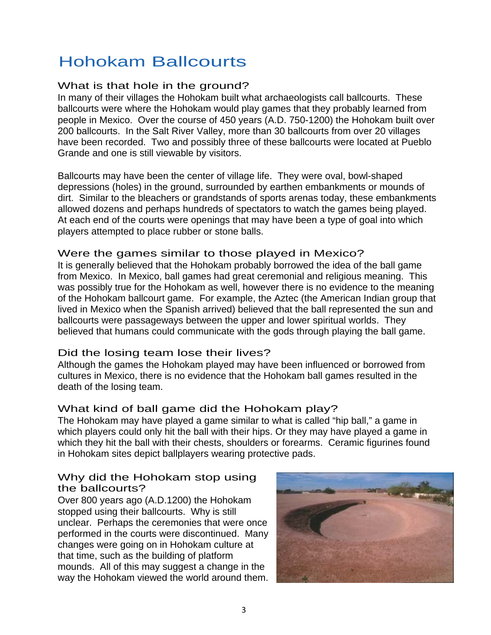## Hohokam Ballcourts

#### What is that hole in the ground?

In many of their villages the Hohokam built what archaeologists call ballcourts. These ballcourts were where the Hohokam would play games that they probably learned from people in Mexico. Over the course of 450 years (A.D. 750-1200) the Hohokam built over 200 ballcourts. In the Salt River Valley, more than 30 ballcourts from over 20 villages have been recorded. Two and possibly three of these ballcourts were located at Pueblo Grande and one is still viewable by visitors.

Ballcourts may have been the center of village life. They were oval, bowl-shaped depressions (holes) in the ground, surrounded by earthen embankments or mounds of dirt. Similar to the bleachers or grandstands of sports arenas today, these embankments allowed dozens and perhaps hundreds of spectators to watch the games being played. At each end of the courts were openings that may have been a type of goal into which players attempted to place rubber or stone balls.

#### Were the games similar to those played in Mexico?

It is generally believed that the Hohokam probably borrowed the idea of the ball game from Mexico. In Mexico, ball games had great ceremonial and religious meaning. This was possibly true for the Hohokam as well, however there is no evidence to the meaning of the Hohokam ballcourt game. For example, the Aztec (the American Indian group that lived in Mexico when the Spanish arrived) believed that the ball represented the sun and ballcourts were passageways between the upper and lower spiritual worlds. They believed that humans could communicate with the gods through playing the ball game.

#### Did the losing team lose their lives?

Although the games the Hohokam played may have been influenced or borrowed from cultures in Mexico, there is no evidence that the Hohokam ball games resulted in the death of the losing team.

#### What kind of ball game did the Hohokam play?

The Hohokam may have played a game similar to what is called "hip ball," a game in which players could only hit the ball with their hips. Or they may have played a game in which they hit the ball with their chests, shoulders or forearms. Ceramic figurines found in Hohokam sites depict ballplayers wearing protective pads.

#### Why did the Hohokam stop using the ballcourts?

Over 800 years ago (A.D.1200) the Hohokam stopped using their ballcourts. Why is still unclear. Perhaps the ceremonies that were once performed in the courts were discontinued. Many changes were going on in Hohokam culture at that time, such as the building of platform mounds. All of this may suggest a change in the way the Hohokam viewed the world around them.

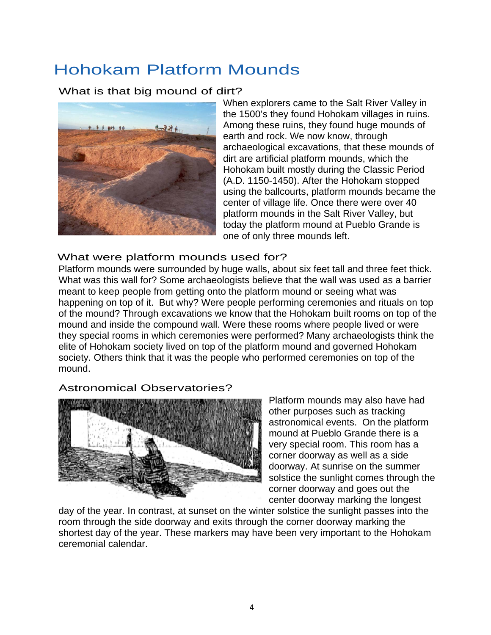### Hohokam Platform Mounds

#### What is that big mound of dirt?



When explorers came to the Salt River Valley in the 1500's they found Hohokam villages in ruins. Among these ruins, they found huge mounds of earth and rock. We now know, through archaeological excavations, that these mounds of dirt are artificial platform mounds, which the Hohokam built mostly during the Classic Period (A.D. 1150-1450). After the Hohokam stopped using the ballcourts, platform mounds became the center of village life. Once there were over 40 platform mounds in the Salt River Valley, but today the platform mound at Pueblo Grande is one of only three mounds left.

#### What were platform mounds used for?

Platform mounds were surrounded by huge walls, about six feet tall and three feet thick. What was this wall for? Some archaeologists believe that the wall was used as a barrier meant to keep people from getting onto the platform mound or seeing what was happening on top of it. But why? Were people performing ceremonies and rituals on top of the mound? Through excavations we know that the Hohokam built rooms on top of the mound and inside the compound wall. Were these rooms where people lived or were they special rooms in which ceremonies were performed? Many archaeologists think the elite of Hohokam society lived on top of the platform mound and governed Hohokam society. Others think that it was the people who performed ceremonies on top of the mound.

#### Astronomical Observatories?



Platform mounds may also have had other purposes such as tracking astronomical events. On the platform mound at Pueblo Grande there is a very special room. This room has a corner doorway as well as a side doorway. At sunrise on the summer solstice the sunlight comes through the corner doorway and goes out the center doorway marking the longest

day of the year. In contrast, at sunset on the winter solstice the sunlight passes into the room through the side doorway and exits through the corner doorway marking the shortest day of the year. These markers may have been very important to the Hohokam ceremonial calendar.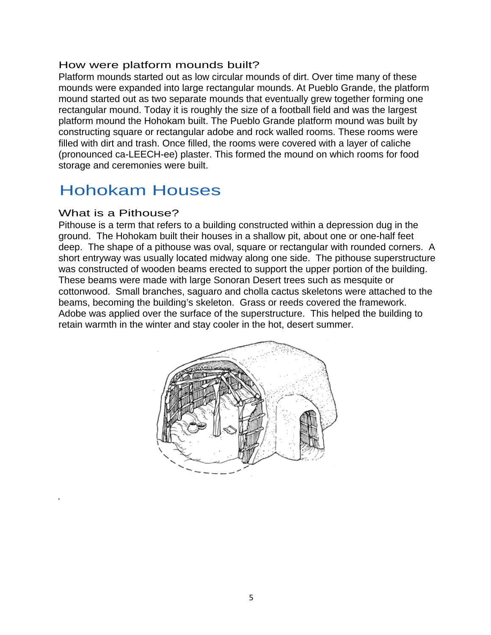#### How were platform mounds built?

Platform mounds started out as low circular mounds of dirt. Over time many of these mounds were expanded into large rectangular mounds. At Pueblo Grande, the platform mound started out as two separate mounds that eventually grew together forming one rectangular mound. Today it is roughly the size of a football field and was the largest platform mound the Hohokam built. The Pueblo Grande platform mound was built by constructing square or rectangular adobe and rock walled rooms. These rooms were filled with dirt and trash. Once filled, the rooms were covered with a layer of caliche (pronounced ca-LEECH-ee) plaster. This formed the mound on which rooms for food storage and ceremonies were built.

### Hohokam Houses

#### What is a Pithouse?

.

Pithouse is a term that refers to a building constructed within a depression dug in the ground. The Hohokam built their houses in a shallow pit, about one or one-half feet deep. The shape of a pithouse was oval, square or rectangular with rounded corners. A short entryway was usually located midway along one side. The pithouse superstructure was constructed of wooden beams erected to support the upper portion of the building. These beams were made with large Sonoran Desert trees such as mesquite or cottonwood. Small branches, saguaro and cholla cactus skeletons were attached to the beams, becoming the building's skeleton. Grass or reeds covered the framework. Adobe was applied over the surface of the superstructure. This helped the building to retain warmth in the winter and stay cooler in the hot, desert summer.

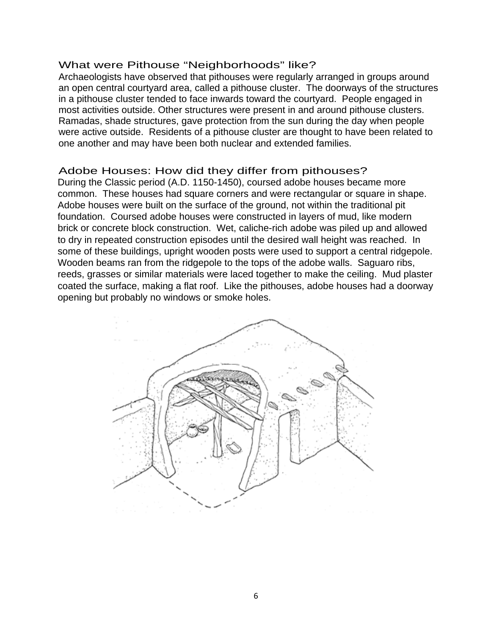#### What were Pithouse "Neighborhoods" like?

Archaeologists have observed that pithouses were regularly arranged in groups around an open central courtyard area, called a pithouse cluster. The doorways of the structures in a pithouse cluster tended to face inwards toward the courtyard. People engaged in most activities outside. Other structures were present in and around pithouse clusters. Ramadas, shade structures, gave protection from the sun during the day when people were active outside. Residents of a pithouse cluster are thought to have been related to one another and may have been both nuclear and extended families.

#### Adobe Houses: How did they differ from pithouses?

During the Classic period (A.D. 1150-1450), coursed adobe houses became more common. These houses had square corners and were rectangular or square in shape. Adobe houses were built on the surface of the ground, not within the traditional pit foundation. Coursed adobe houses were constructed in layers of mud, like modern brick or concrete block construction. Wet, caliche-rich adobe was piled up and allowed to dry in repeated construction episodes until the desired wall height was reached. In some of these buildings, upright wooden posts were used to support a central ridgepole. Wooden beams ran from the ridgepole to the tops of the adobe walls. Saguaro ribs, reeds, grasses or similar materials were laced together to make the ceiling. Mud plaster coated the surface, making a flat roof. Like the pithouses, adobe houses had a doorway opening but probably no windows or smoke holes.

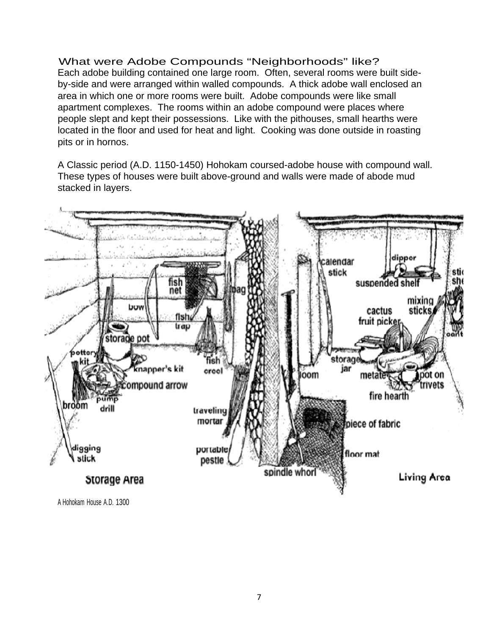What were Adobe Compounds "Neighborhoods" like? Each adobe building contained one large room. Often, several rooms were built sideby-side and were arranged within walled compounds. A thick adobe wall enclosed an area in which one or more rooms were built. Adobe compounds were like small apartment complexes. The rooms within an adobe compound were places where people slept and kept their possessions. Like with the pithouses, small hearths were located in the floor and used for heat and light. Cooking was done outside in roasting pits or in hornos.

A Classic period (A.D. 1150-1450) Hohokam coursed-adobe house with compound wall. These types of houses were built above-ground and walls were made of abode mud stacked in layers.



A Hohokam House A.D. 1300